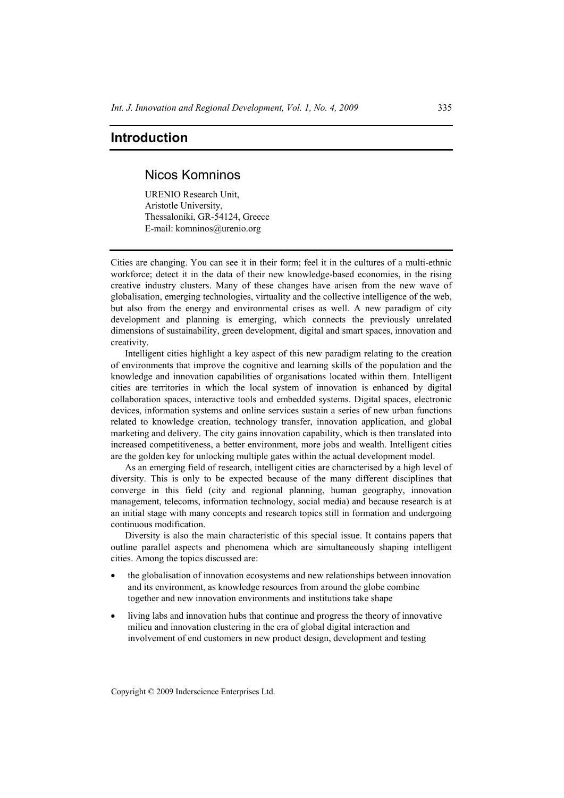## **Introduction**

## Nicos Komninos

URENIO Research Unit, Aristotle University, Thessaloniki, GR-54124, Greece E-mail: komninos@urenio.org

Cities are changing. You can see it in their form; feel it in the cultures of a multi-ethnic workforce; detect it in the data of their new knowledge-based economies, in the rising creative industry clusters. Many of these changes have arisen from the new wave of globalisation, emerging technologies, virtuality and the collective intelligence of the web, but also from the energy and environmental crises as well. A new paradigm of city development and planning is emerging, which connects the previously unrelated dimensions of sustainability, green development, digital and smart spaces, innovation and creativity.

Intelligent cities highlight a key aspect of this new paradigm relating to the creation of environments that improve the cognitive and learning skills of the population and the knowledge and innovation capabilities of organisations located within them. Intelligent cities are territories in which the local system of innovation is enhanced by digital collaboration spaces, interactive tools and embedded systems. Digital spaces, electronic devices, information systems and online services sustain a series of new urban functions related to knowledge creation, technology transfer, innovation application, and global marketing and delivery. The city gains innovation capability, which is then translated into increased competitiveness, a better environment, more jobs and wealth. Intelligent cities are the golden key for unlocking multiple gates within the actual development model.

As an emerging field of research, intelligent cities are characterised by a high level of diversity. This is only to be expected because of the many different disciplines that converge in this field (city and regional planning, human geography, innovation management, telecoms, information technology, social media) and because research is at an initial stage with many concepts and research topics still in formation and undergoing continuous modification.

Diversity is also the main characteristic of this special issue. It contains papers that outline parallel aspects and phenomena which are simultaneously shaping intelligent cities. Among the topics discussed are:

- the globalisation of innovation ecosystems and new relationships between innovation and its environment, as knowledge resources from around the globe combine together and new innovation environments and institutions take shape
- living labs and innovation hubs that continue and progress the theory of innovative milieu and innovation clustering in the era of global digital interaction and involvement of end customers in new product design, development and testing